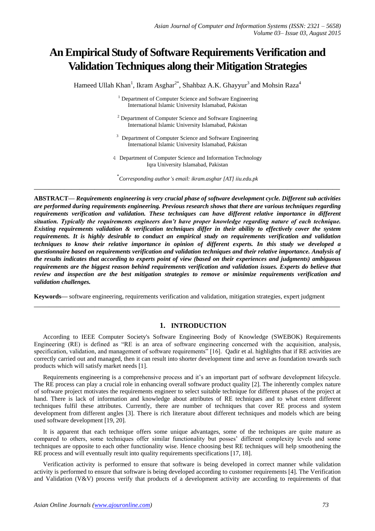# **An Empirical Study of Software Requirements Verification and Validation Techniques along their Mitigation Strategies**

Hameed Ullah Khan<sup>1</sup>, Ikram Asghar<sup>2\*</sup>, Shahbaz A.K. Ghayyur<sup>3</sup> and Mohsin Raza<sup>4</sup>

<sup>1</sup> Department of Computer Science and Software Engineering International Islamic University Islamabad, Pakistan

- <sup>2</sup> Department of Computer Science and Software Engineering International Islamic University Islamabad, Pakistan
- <sup>3</sup> Department of Computer Science and Software Engineering International Islamic University Islamabad, Pakistan
- 4 Department of Computer Science and Information Technology Iqra University Islamabad, Pakistan

\* *Corresponding author's email: ikram.asghar [AT] iiu.edu.pk* **\_\_\_\_\_\_\_\_\_\_\_\_\_\_\_\_\_\_\_\_\_\_\_\_\_\_\_\_\_\_\_\_\_\_\_\_\_\_\_\_\_\_\_\_\_\_\_\_\_\_\_\_\_\_\_\_\_\_\_\_\_\_\_\_\_\_\_\_\_\_\_\_\_\_\_\_\_\_\_\_\_**

**ABSTRACT—** *Requirements engineering is very crucial phase of software development cycle. Different sub activities are performed during requirements engineering. Previous research shows that there are various techniques regarding requirements verification and validation. These techniques can have different relative importance in different situation. Typically the requirements engineers don't have proper knowledge regarding nature of each technique. Existing requirements validation & verification techniques differ in their ability to effectively cover the system requirements. It is highly desirable to conduct an empirical study on requirements verification and validation techniques to know their relative importance in opinion of different experts. In this study we developed a questionnaire based on requirements verification and validation techniques and their relative importance. Analysis of the results indicates that according to experts point of view (based on their experiences and judgments) ambiguous requirements are the biggest reason behind requirements verification and validation issues. Experts do believe that review and inspection are the best mitigation strategies to remove or minimize requirements verification and validation challenges.*

**Keywords—** software engineering, requirements verification and validation, mitigation strategies, expert judgment

**\_\_\_\_\_\_\_\_\_\_\_\_\_\_\_\_\_\_\_\_\_\_\_\_\_\_\_\_\_\_\_\_\_\_\_\_\_\_\_\_\_\_\_\_\_\_\_\_\_\_\_\_\_\_\_\_\_\_\_\_\_\_\_\_\_\_\_\_\_\_\_\_\_\_\_\_\_\_\_\_\_**

## **1. INTRODUCTION**

According to IEEE Computer Society's Software Engineering Body of Knowledge (SWEBOK) Requirements Engineering (RE) is defined as "RE is an area of software engineering concerned with the acquisition, analysis, specification, validation, and management of software requirements" [16]. Qadir et al. highlights that if RE activities are correctly carried out and managed, then it can result into shorter development time and serve as foundation towards such products which will satisfy market needs [1].

Requirements engineering is a comprehensive process and it's an important part of software development lifecycle. The RE process can play a crucial role in enhancing overall software product quality [2]. The inherently complex nature of software project motivates the requirements engineer to select suitable technique for different phases of the project at hand. There is lack of information and knowledge about attributes of RE techniques and to what extent different techniques fulfil these attributes. Currently, there are number of techniques that cover RE process and system development from different angles [3]. There is rich literature about different techniques and models which are being used software development [19, 20].

It is apparent that each technique offers some unique advantages, some of the techniques are quite mature as compared to others, some techniques offer similar functionality but posses' different complexity levels and some techniques are opposite to each other functionality wise. Hence choosing best RE techniques will help smoothening the RE process and will eventually result into quality requirements specifications [17, 18].

Verification activity is performed to ensure that software is being developed in correct manner while validation activity is performed to ensure that software is being developed according to customer requirements [4]. The Verification and Validation (V&V) process verify that products of a development activity are according to requirements of that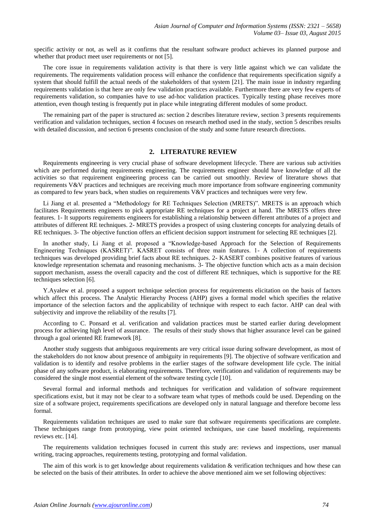specific activity or not, as well as it confirms that the resultant software product achieves its planned purpose and whether that product meet user requirements or not [5].

The core issue in requirements validation activity is that there is very little against which we can validate the requirements. The requirements validation process will enhance the confidence that requirements specification signify a system that should fulfill the actual needs of the stakeholders of that system [21]. The main issue in industry regarding requirements validation is that here are only few validation practices available. Furthermore there are very few experts of requirements validation, so companies have to use ad-hoc validation practices. Typically testing phase receives more attention, even though testing is frequently put in place while integrating different modules of some product.

The remaining part of the paper is structured as: section 2 describes literature review, section 3 presents requirements verification and validation techniques, section 4 focuses on research method used in the study, section 5 describes results with detailed discussion, and section 6 presents conclusion of the study and some future research directions.

# **2. LITERATURE REVIEW**

Requirements engineering is very crucial phase of software development lifecycle. There are various sub activities which are performed during requirements engineering. The requirements engineer should have knowledge of all the activities so that requirement engineering process can be carried out smoothly. Review of literature shows that requirements V&V practices and techniques are receiving much more importance from software engineering community as compared to few years back, when studies on requirements V&V practices and techniques were very few.

Li Jiang et al. presented a "Methodology for RE Techniques Selection (MRETS)". MRETS is an approach which facilitates Requirements engineers to pick appropriate RE techniques for a project at hand. The MRETS offers three features. 1- It supports requirements engineers for establishing a relationship between different attributes of a project and attributes of different RE techniques. 2- MRETS provides a prospect of using clustering concepts for analyzing details of RE techniques. 3- The objective function offers an efficient decision support instrument for selecting RE techniques [2].

In another study, Li Jiang et al. proposed a "Knowledge-based Approach for the Selection of Requirements Engineering Techniques (KASRET)". KASRET consists of three main features. 1- A collection of requirements techniques was developed providing brief facts about RE techniques. 2- KASERT combines positive features of various knowledge representation schemata and reasoning mechanisms. 3- The objective function which acts as a main decision support mechanism, assess the overall capacity and the cost of different RE techniques, which is supportive for the RE techniques selection [6].

Y.Ayalew et al. proposed a support technique selection process for requirements elicitation on the basis of factors which affect this process. The Analytic Hierarchy Process (AHP) gives a formal model which specifies the relative importance of the selection factors and the applicability of technique with respect to each factor. AHP can deal with subjectivity and improve the reliability of the results [7].

According to C. Ponsard et al. verification and validation practices must be started earlier during development process for achieving high level of assurance. The results of their study shows that higher assurance level can be gained through a goal oriented RE framework [8].

Another study suggests that ambiguous requirements are very critical issue during software development, as most of the stakeholders do not know about presence of ambiguity in requirements [9]. The objective of software verification and validation is to identify and resolve problems in the earlier stages of the software development life cycle. The initial phase of any software product, is elaborating requirements. Therefore, verification and validation of requirements may be considered the single most essential element of the software testing cycle [10].

Several formal and informal methods and techniques for verification and validation of software requirement specifications exist, but it may not be clear to a software team what types of methods could be used. Depending on the size of a software project, requirements specifications are developed only in natural language and therefore become less formal.

Requirements validation techniques are used to make sure that software requirements specifications are complete. These techniques range from prototyping, view point oriented techniques, use case based modeling, requirements reviews etc. [14].

The requirements validation techniques focused in current this study are: reviews and inspections, user manual writing, tracing approaches, requirements testing, prototyping and formal validation.

The aim of this work is to get knowledge about requirements validation & verification techniques and how these can be selected on the basis of their attributes. In order to achieve the above mentioned aim we set following objectives: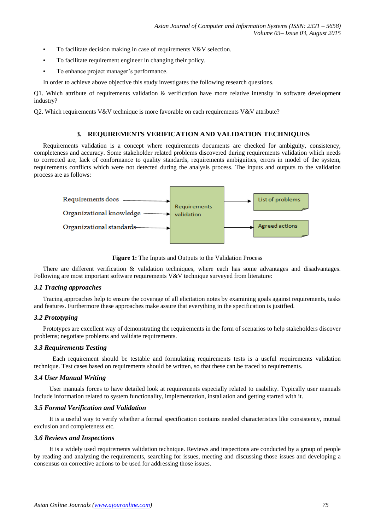- To facilitate decision making in case of requirements  $V&V$  selection.
- To facilitate requirement engineer in changing their policy.
- To enhance project manager's performance.

In order to achieve above objective this study investigates the following research questions.

Q1. Which attribute of requirements validation & verification have more relative intensity in software development industry?

Q2. Which requirements V&V technique is more favorable on each requirements V&V attribute?

### **3. REQUIREMENTS VERIFICATION AND VALIDATION TECHNIQUES**

Requirements validation is a concept where requirements documents are checked for ambiguity, consistency, completeness and accuracy. Some stakeholder related problems discovered during requirements validation which needs to corrected are, lack of conformance to quality standards, requirements ambiguities, errors in model of the system, requirements conflicts which were not detected during the analysis process. The inputs and outputs to the validation process are as follows:



**Figure 1:** The Inputs and Outputs to the Validation Process

There are different verification & validation techniques, where each has some advantages and disadvantages. Following are most important software requirements V&V technique surveyed from literature:

#### *3.1 Tracing approaches*

Tracing approaches help to ensure the coverage of all elicitation notes by examining goals against requirements, tasks and features. Furthermore these approaches make assure that everything in the specification is justified.

#### *3.2 Prototyping*

Prototypes are excellent way of demonstrating the requirements in the form of scenarios to help stakeholders discover problems; negotiate problems and validate requirements.

## *3.3 Requirements Testing*

 Each requirement should be testable and formulating requirements tests is a useful requirements validation technique. Test cases based on requirements should be written, so that these can be traced to requirements.

#### *3.4 User Manual Writing*

 User manuals forces to have detailed look at requirements especially related to usability. Typically user manuals include information related to system functionality, implementation, installation and getting started with it.

#### *3.5 Formal Verification and Validation*

 It is a useful way to verify whether a formal specification contains needed characteristics like consistency, mutual exclusion and completeness etc.

#### *3.6 Reviews and Inspections*

 It is a widely used requirements validation technique. Reviews and inspections are conducted by a group of people by reading and analyzing the requirements, searching for issues, meeting and discussing those issues and developing a consensus on corrective actions to be used for addressing those issues.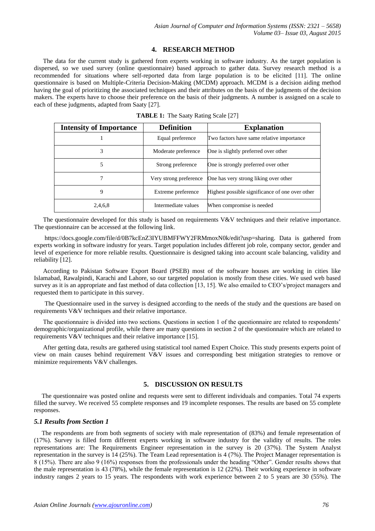# **4. RESEARCH METHOD**

The data for the current study is gathered from experts working in software industry. As the target population is dispersed, so we used survey (online questionnaire) based approach to gather data. Survey research method is a recommended for situations where self-reported data from large population is to be elicited [11]. The online questionnaire is based on Multiple-Criteria Decision-Making (MCDM) approach. MCDM is a decision aiding method having the goal of prioritizing the associated techniques and their attributes on the basis of the judgments of the decision makers. The experts have to choose their preference on the basis of their judgments. A number is assigned on a scale to each of these judgments, adapted from Saaty [27].

| <b>Intensity of Importance</b> | <b>Definition</b>      | <b>Explanation</b>                              |
|--------------------------------|------------------------|-------------------------------------------------|
|                                | Equal preference       | Two factors have same relative importance       |
| 3                              | Moderate preference    | One is slightly preferred over other            |
| 5                              | Strong preference      | One is strongly preferred over other            |
| 7                              | Very strong preference | One has very strong liking over other           |
| 9                              | Extreme preference     | Highest possible significance of one over other |
| 2,4,6,8                        | Intermediate values    | When compromise is needed                       |

**TABLE 1:** The Saaty Rating Scale [27]

The questionnaire developed for this study is based on requirements V&V techniques and their relative importance. The questionnaire can be accessed at the following link.

https://docs.google.com/file/d/0B7kcEnZ3IYUBMFFWY2FRMmoxN0k/edit?usp=sharing. Data is gathered from experts working in software industry for years. Target population includes different job role, company sector, gender and level of experience for more reliable results. Questionnaire is designed taking into account scale balancing, validity and reliability [12].

According to Pakistan Software Export Board (PSEB) most of the software houses are working in cities like Islamabad, Rawalpindi, Karachi and Lahore, so our targeted population is mostly from these cities. We used web based survey as it is an appropriate and fast method of data collection [13, 15]. We also emailed to CEO's/project managers and requested them to participate in this survey.

The Questionnaire used in the survey is designed according to the needs of the study and the questions are based on requirements V&V techniques and their relative importance.

The questionnaire is divided into two sections. Questions in section 1 of the questionnaire are related to respondents' demographic/organizational profile, while there are many questions in section 2 of the questionnaire which are related to requirements V&V techniques and their relative importance [15].

After getting data, results are gathered using statistical tool named Expert Choice. This study presents experts point of view on main causes behind requirement V&V issues and corresponding best mitigation strategies to remove or minimize requirements V&V challenges.

# **5. DISCUSSION ON RESULTS**

The questionnaire was posted online and requests were sent to different individuals and companies. Total 74 experts filled the survey. We received 55 complete responses and 19 incomplete responses. The results are based on 55 complete responses.

#### *5.1 Results from Section 1*

The respondents are from both segments of society with male representation of (83%) and female representation of (17%). Survey is filled form different experts working in software industry for the validity of results. The roles representations are: The Requirements Engineer representation in the survey is 20 (37%). The System Analyst representation in the survey is 14 (25%). The Team Lead representation is 4 (7%). The Project Manager representation is 8 (15%). There are also 9 (16%) responses from the professionals under the heading "Other". Gender results shows that the male representation is 43 (78%), while the female representation is 12 (22%). Their working experience in software industry ranges 2 years to 15 years. The respondents with work experience between 2 to 5 years are 30 (55%). The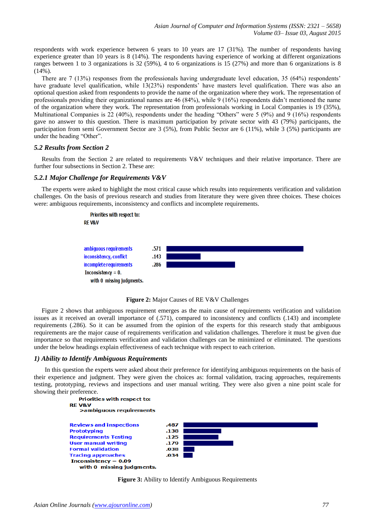respondents with work experience between 6 years to 10 years are 17 (31%). The number of respondents having experience greater than 10 years is 8 (14%). The respondents having experience of working at different organizations ranges between 1 to 3 organizations is 32 (59%), 4 to 6 organizations is 15 (27%) and more than 6 organizations is 8  $(14\%)$ .

There are 7 (13%) responses from the professionals having undergraduate level education, 35 (64%) respondents' have graduate level qualification, while 13(23%) respondents' have masters level qualification. There was also an optional question asked from respondents to provide the name of the organization where they work. The representation of professionals providing their organizational names are 46 (84%), while 9 (16%) respondents didn't mentioned the name of the organization where they work. The representation from professionals working in Local Companies is 19 (35%), Multinational Companies is 22 (40%), respondents under the heading "Others" were 5 (9%) and 9 (16%) respondents gave no answer to this question. There is maximum participation by private sector with 43 (79%) participants, the participation from semi Government Sector are 3 (5%), from Public Sector are 6 (11%), while 3 (5%) participants are under the heading "Other".

## *5.2 Results from Section 2*

Results from the Section 2 are related to requirements V&V techniques and their relative importance. There are further four subsections in Section 2. These are:

#### *5.2.1 Major Challenge for Requirements V&V*

The experts were asked to highlight the most critical cause which results into requirements verification and validation challenges. On the basis of previous research and studies from literature they were given three choices. These choices were: ambiguous requirements, inconsistency and conflicts and incomplete requirements.



**Figure 2:** Major Causes of RE V&V Challenges

Figure 2 shows that ambiguous requirement emerges as the main cause of requirements verification and validation issues as it received an overall importance of (.571), compared to inconsistency and conflicts (.143) and incomplete requirements (.286). So it can be assumed from the opinion of the experts for this research study that ambiguous requirements are the major cause of requirements verification and validation challenges. Therefore it must be given due importance so that requirements verification and validation challenges can be minimized or eliminated. The questions under the below headings explain effectiveness of each technique with respect to each criterion.

# *1) Ability to Identify Ambiguous Requirements*

 In this question the experts were asked about their preference for identifying ambiguous requirements on the basis of their experience and judgment. They were given the choices as: formal validation, tracing approaches, requirements testing, prototyping, reviews and inspections and user manual writing. They were also given a nine point scale for showing their preference.



**Figure 3:** Ability to Identify Ambiguous Requirements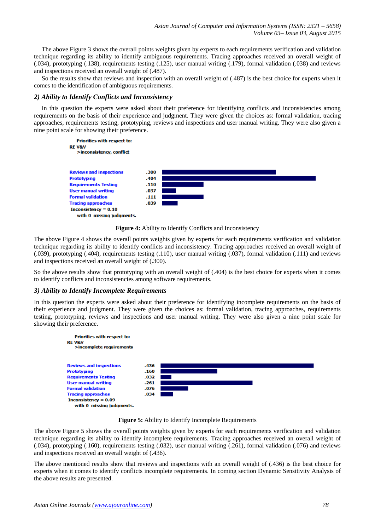The above Figure 3 shows the overall points weights given by experts to each requirements verification and validation technique regarding its ability to identify ambiguous requirements. Tracing approaches received an overall weight of (.034), prototyping (.138), requirements testing (.125), user manual writing (.179), formal validation (.038) and reviews and inspections received an overall weight of (.487).

So the results show that reviews and inspection with an overall weight of (.487) is the best choice for experts when it comes to the identification of ambiguous requirements.

## *2) Ability to Identify Conflicts and Inconsistency*

In this question the experts were asked about their preference for identifying conflicts and inconsistencies among requirements on the basis of their experience and judgment. They were given the choices as: formal validation, tracing approaches, requirements testing, prototyping, reviews and inspections and user manual writing. They were also given a nine point scale for showing their preference.



**Figure 4:** Ability to Identify Conflicts and Inconsistency

The above Figure 4 shows the overall points weights given by experts for each requirements verification and validation technique regarding its ability to identify conflicts and inconsistency. Tracing approaches received an overall weight of (.039), prototyping (.404), requirements testing (.110), user manual writing (.037), formal validation (.111) and reviews and inspections received an overall weight of (.300).

So the above results show that prototyping with an overall weight of (.404) is the best choice for experts when it comes to identify conflicts and inconsistencies among software requirements.

# *3) Ability to Identify Incomplete Requirements*

In this question the experts were asked about their preference for identifying incomplete requirements on the basis of their experience and judgment. They were given the choices as: formal validation, tracing approaches, requirements testing, prototyping, reviews and inspections and user manual writing. They were also given a nine point scale for showing their preference.



**Figure 5:** Ability to Identify Incomplete Requirements

The above Figure 5 shows the overall points weights given by experts for each requirements verification and validation technique regarding its ability to identify incomplete requirements. Tracing approaches received an overall weight of (.034), prototyping (.160), requirements testing (.032), user manual writing (.261), formal validation (.076) and reviews and inspections received an overall weight of (.436).

The above mentioned results show that reviews and inspections with an overall weight of (.436) is the best choice for experts when it comes to identify conflicts incomplete requirements. In coming section Dynamic Sensitivity Analysis of the above results are presented.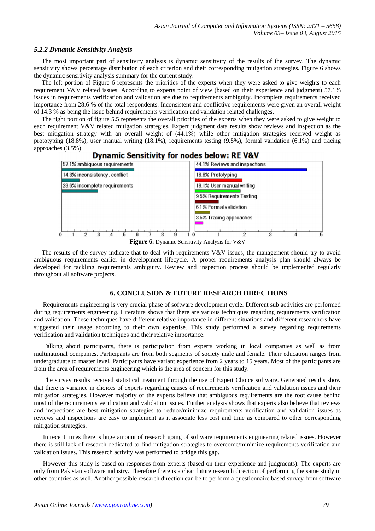### *5.2.2 Dynamic Sensitivity Analysis*

The most important part of sensitivity analysis is dynamic sensitivity of the results of the survey. The dynamic sensitivity shows percentage distribution of each criterion and their corresponding mitigation strategies. Figure 6 shows the dynamic sensitivity analysis summary for the current study.

The left portion of Figure 6 represents the priorities of the experts when they were asked to give weights to each requirement V&V related issues. According to experts point of view (based on their experience and judgment) 57.1% issues in requirements verification and validation are due to requirements ambiguity. Incomplete requirements received importance from 28.6 % of the total respondents. Inconsistent and conflictive requirements were given an overall weight of 14.3 % as being the issue behind requirements verification and validation related challenges.

The right portion of figure 5.5 represents the overall priorities of the experts when they were asked to give weight to each requirement V&V related mitigation strategies. Expert judgment data results show reviews and inspection as the best mitigation strategy with an overall weight of (44.1%) while other mitigation strategies received weight as prototyping (18.8%), user manual writing (18.1%), requirements testing (9.5%), formal validation (6.1%) and tracing approaches (3.5%).



# **Dynamic Sensitivity for nodes below: RE V&V**

The results of the survey indicate that to deal with requirements V&V issues, the management should try to avoid ambiguous requirements earlier in development lifecycle. A proper requirements analysis plan should always be developed for tackling requirements ambiguity. Review and inspection process should be implemented regularly throughout all software projects.

## **6. CONCLUSION & FUTURE RESEARCH DIRECTIONS**

Requirements engineering is very crucial phase of software development cycle. Different sub activities are performed during requirements engineering. Literature shows that there are various techniques regarding requirements verification and validation. These techniques have different relative importance in different situations and different researchers have suggested their usage according to their own expertise. This study performed a survey regarding requirements verification and validation techniques and their relative importance.

Talking about participants, there is participation from experts working in local companies as well as from multinational companies. Participants are from both segments of society male and female. Their education ranges from undergraduate to master level. Participants have variant experience from 2 years to 15 years. Most of the participants are from the area of requirements engineering which is the area of concern for this study.

The survey results received statistical treatment through the use of Expert Choice software. Generated results show that there is variance in choices of experts regarding causes of requirements verification and validation issues and their mitigation strategies. However majority of the experts believe that ambiguous requirements are the root cause behind most of the requirements verification and validation issues. Further analysis shows that experts also believe that reviews and inspections are best mitigation strategies to reduce/minimize requirements verification and validation issues as reviews and inspections are easy to implement as it associate less cost and time as compared to other corresponding mitigation strategies.

In recent times there is huge amount of research going of software requirements engineering related issues. However there is still lack of research dedicated to find mitigation strategies to overcome/minimize requirements verification and validation issues. This research activity was performed to bridge this gap.

However this study is based on responses from experts (based on their experience and judgments). The experts are only from Pakistan software industry. Therefore there is a clear future research direction of performing the same study in other countries as well. Another possible research direction can be to perform a questionnaire based survey from software